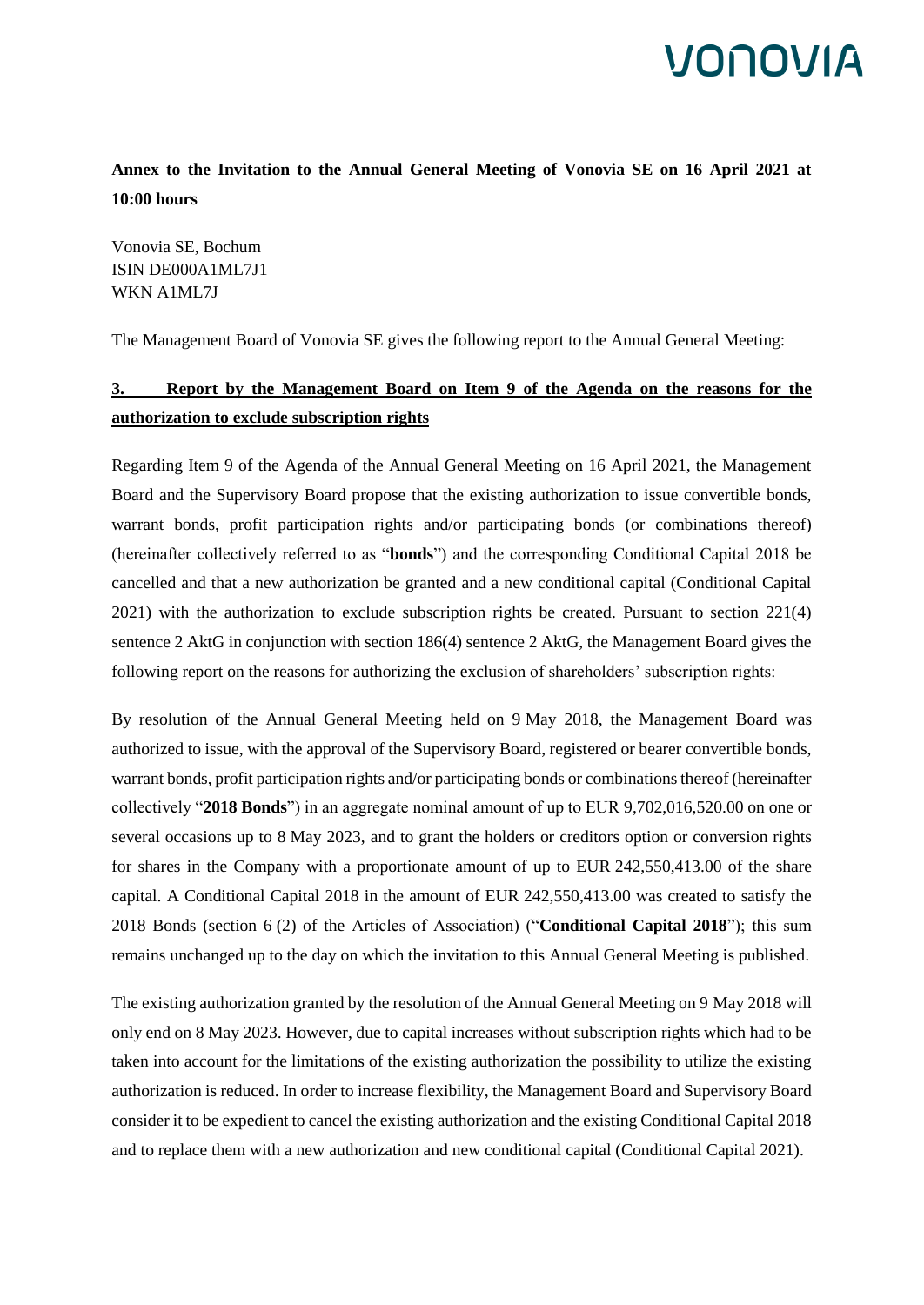# **IONOVIA**

**Annex to the Invitation to the Annual General Meeting of Vonovia SE on 16 April 2021 at 10:00 hours**

Vonovia SE, Bochum ISIN DE000A1ML7J1 WKN A1ML7J

The Management Board of Vonovia SE gives the following report to the Annual General Meeting:

#### **3. Report by the Management Board on Item 9 of the Agenda on the reasons for the authorization to exclude subscription rights**

Regarding Item 9 of the Agenda of the Annual General Meeting on 16 April 2021, the Management Board and the Supervisory Board propose that the existing authorization to issue convertible bonds, warrant bonds, profit participation rights and/or participating bonds (or combinations thereof) (hereinafter collectively referred to as "**bonds**") and the corresponding Conditional Capital 2018 be cancelled and that a new authorization be granted and a new conditional capital (Conditional Capital 2021) with the authorization to exclude subscription rights be created. Pursuant to section 221(4) sentence 2 AktG in conjunction with section 186(4) sentence 2 AktG, the Management Board gives the following report on the reasons for authorizing the exclusion of shareholders' subscription rights:

By resolution of the Annual General Meeting held on 9 May 2018, the Management Board was authorized to issue, with the approval of the Supervisory Board, registered or bearer convertible bonds, warrant bonds, profit participation rights and/or participating bonds or combinations thereof (hereinafter collectively "**2018 Bonds**") in an aggregate nominal amount of up to EUR 9,702,016,520.00 on one or several occasions up to 8 May 2023, and to grant the holders or creditors option or conversion rights for shares in the Company with a proportionate amount of up to EUR 242,550,413.00 of the share capital. A Conditional Capital 2018 in the amount of EUR 242,550,413.00 was created to satisfy the 2018 Bonds (section 6 (2) of the Articles of Association) ("**Conditional Capital 2018**"); this sum remains unchanged up to the day on which the invitation to this Annual General Meeting is published.

The existing authorization granted by the resolution of the Annual General Meeting on 9 May 2018 will only end on 8 May 2023. However, due to capital increases without subscription rights which had to be taken into account for the limitations of the existing authorization the possibility to utilize the existing authorization is reduced. In order to increase flexibility, the Management Board and Supervisory Board consider it to be expedient to cancel the existing authorization and the existing Conditional Capital 2018 and to replace them with a new authorization and new conditional capital (Conditional Capital 2021).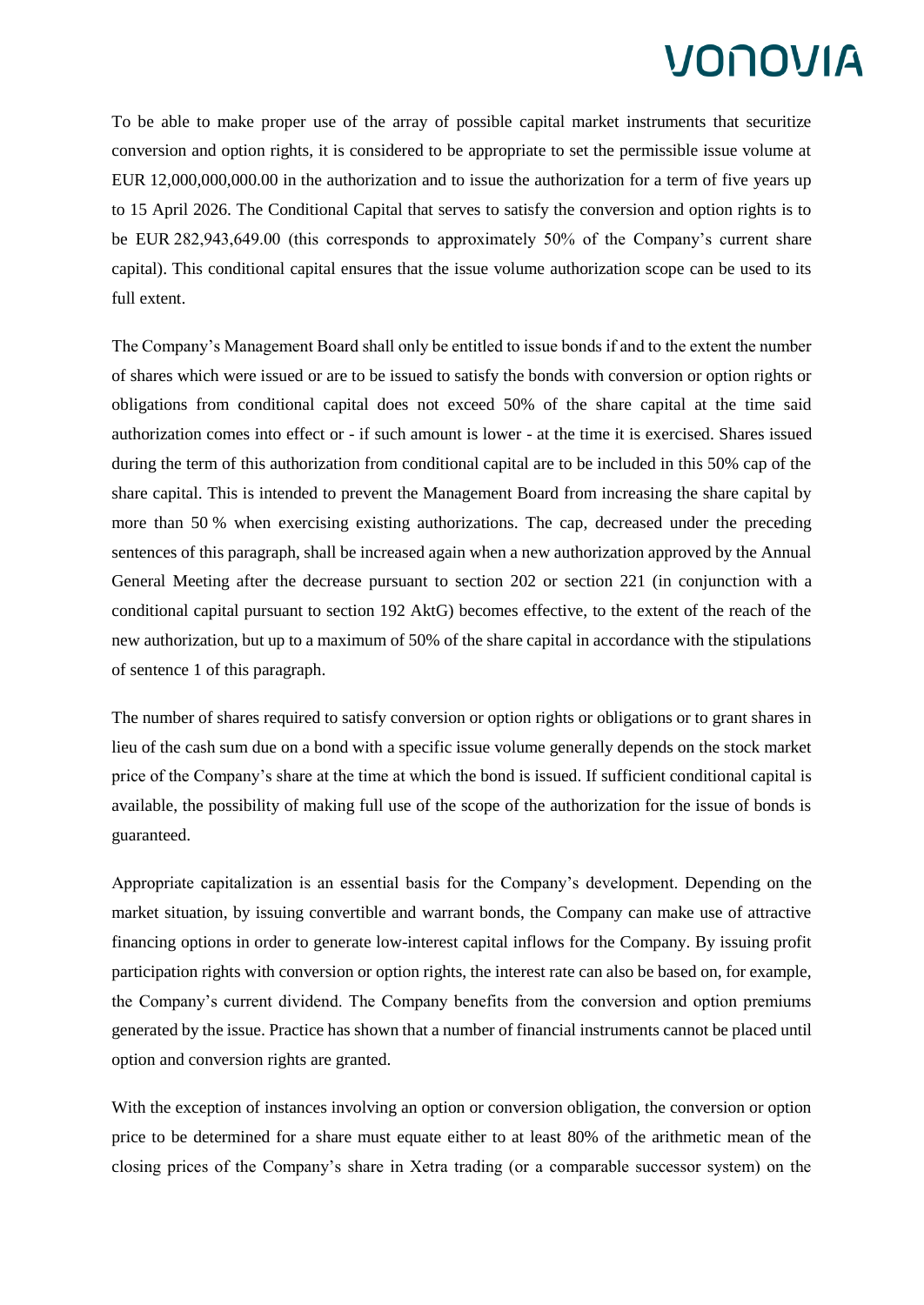To be able to make proper use of the array of possible capital market instruments that securitize conversion and option rights, it is considered to be appropriate to set the permissible issue volume at EUR 12,000,000,000.00 in the authorization and to issue the authorization for a term of five years up to 15 April 2026. The Conditional Capital that serves to satisfy the conversion and option rights is to be EUR 282,943,649.00 (this corresponds to approximately 50% of the Company's current share capital). This conditional capital ensures that the issue volume authorization scope can be used to its full extent.

The Company's Management Board shall only be entitled to issue bonds if and to the extent the number of shares which were issued or are to be issued to satisfy the bonds with conversion or option rights or obligations from conditional capital does not exceed 50% of the share capital at the time said authorization comes into effect or - if such amount is lower - at the time it is exercised. Shares issued during the term of this authorization from conditional capital are to be included in this 50% cap of the share capital. This is intended to prevent the Management Board from increasing the share capital by more than 50 % when exercising existing authorizations. The cap, decreased under the preceding sentences of this paragraph, shall be increased again when a new authorization approved by the Annual General Meeting after the decrease pursuant to section 202 or section 221 (in conjunction with a conditional capital pursuant to section 192 AktG) becomes effective, to the extent of the reach of the new authorization, but up to a maximum of 50% of the share capital in accordance with the stipulations of sentence 1 of this paragraph.

The number of shares required to satisfy conversion or option rights or obligations or to grant shares in lieu of the cash sum due on a bond with a specific issue volume generally depends on the stock market price of the Company's share at the time at which the bond is issued. If sufficient conditional capital is available, the possibility of making full use of the scope of the authorization for the issue of bonds is guaranteed.

Appropriate capitalization is an essential basis for the Company's development. Depending on the market situation, by issuing convertible and warrant bonds, the Company can make use of attractive financing options in order to generate low-interest capital inflows for the Company. By issuing profit participation rights with conversion or option rights, the interest rate can also be based on, for example, the Company's current dividend. The Company benefits from the conversion and option premiums generated by the issue. Practice has shown that a number of financial instruments cannot be placed until option and conversion rights are granted.

With the exception of instances involving an option or conversion obligation, the conversion or option price to be determined for a share must equate either to at least 80% of the arithmetic mean of the closing prices of the Company's share in Xetra trading (or a comparable successor system) on the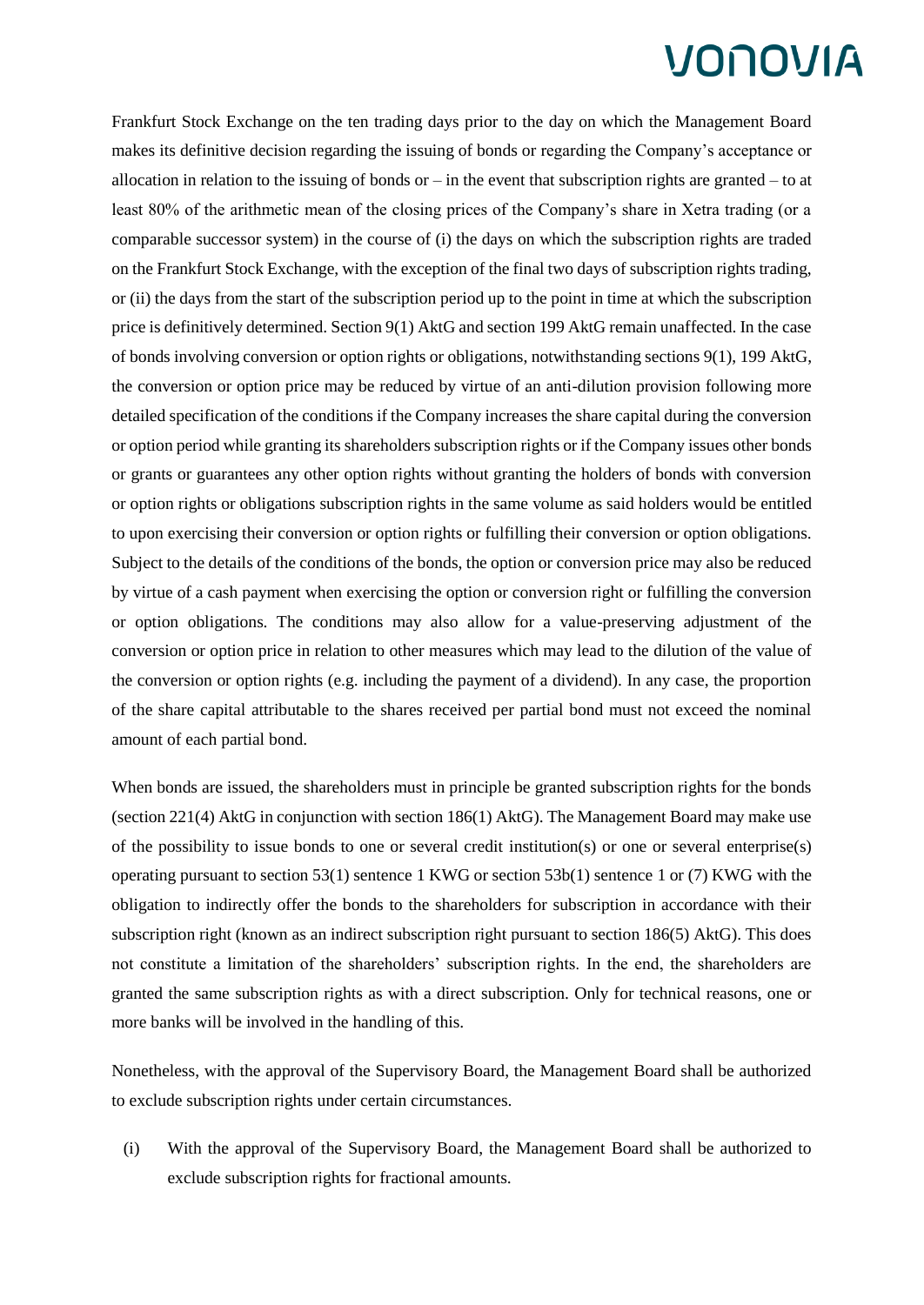Frankfurt Stock Exchange on the ten trading days prior to the day on which the Management Board makes its definitive decision regarding the issuing of bonds or regarding the Company's acceptance or allocation in relation to the issuing of bonds or  $-$  in the event that subscription rights are granted  $-$  to at least 80% of the arithmetic mean of the closing prices of the Company's share in Xetra trading (or a comparable successor system) in the course of (i) the days on which the subscription rights are traded on the Frankfurt Stock Exchange, with the exception of the final two days of subscription rights trading, or (ii) the days from the start of the subscription period up to the point in time at which the subscription price is definitively determined. Section 9(1) AktG and section 199 AktG remain unaffected. In the case of bonds involving conversion or option rights or obligations, notwithstanding sections 9(1), 199 AktG, the conversion or option price may be reduced by virtue of an anti-dilution provision following more detailed specification of the conditions if the Company increases the share capital during the conversion or option period while granting its shareholders subscription rights or if the Company issues other bonds or grants or guarantees any other option rights without granting the holders of bonds with conversion or option rights or obligations subscription rights in the same volume as said holders would be entitled to upon exercising their conversion or option rights or fulfilling their conversion or option obligations. Subject to the details of the conditions of the bonds, the option or conversion price may also be reduced by virtue of a cash payment when exercising the option or conversion right or fulfilling the conversion or option obligations. The conditions may also allow for a value-preserving adjustment of the conversion or option price in relation to other measures which may lead to the dilution of the value of the conversion or option rights (e.g. including the payment of a dividend). In any case, the proportion of the share capital attributable to the shares received per partial bond must not exceed the nominal amount of each partial bond.

When bonds are issued, the shareholders must in principle be granted subscription rights for the bonds (section 221(4) AktG in conjunction with section 186(1) AktG). The Management Board may make use of the possibility to issue bonds to one or several credit institution(s) or one or several enterprise(s) operating pursuant to section 53(1) sentence 1 KWG or section 53b(1) sentence 1 or (7) KWG with the obligation to indirectly offer the bonds to the shareholders for subscription in accordance with their subscription right (known as an indirect subscription right pursuant to section 186(5) AktG). This does not constitute a limitation of the shareholders' subscription rights. In the end, the shareholders are granted the same subscription rights as with a direct subscription. Only for technical reasons, one or more banks will be involved in the handling of this.

Nonetheless, with the approval of the Supervisory Board, the Management Board shall be authorized to exclude subscription rights under certain circumstances.

(i) With the approval of the Supervisory Board, the Management Board shall be authorized to exclude subscription rights for fractional amounts.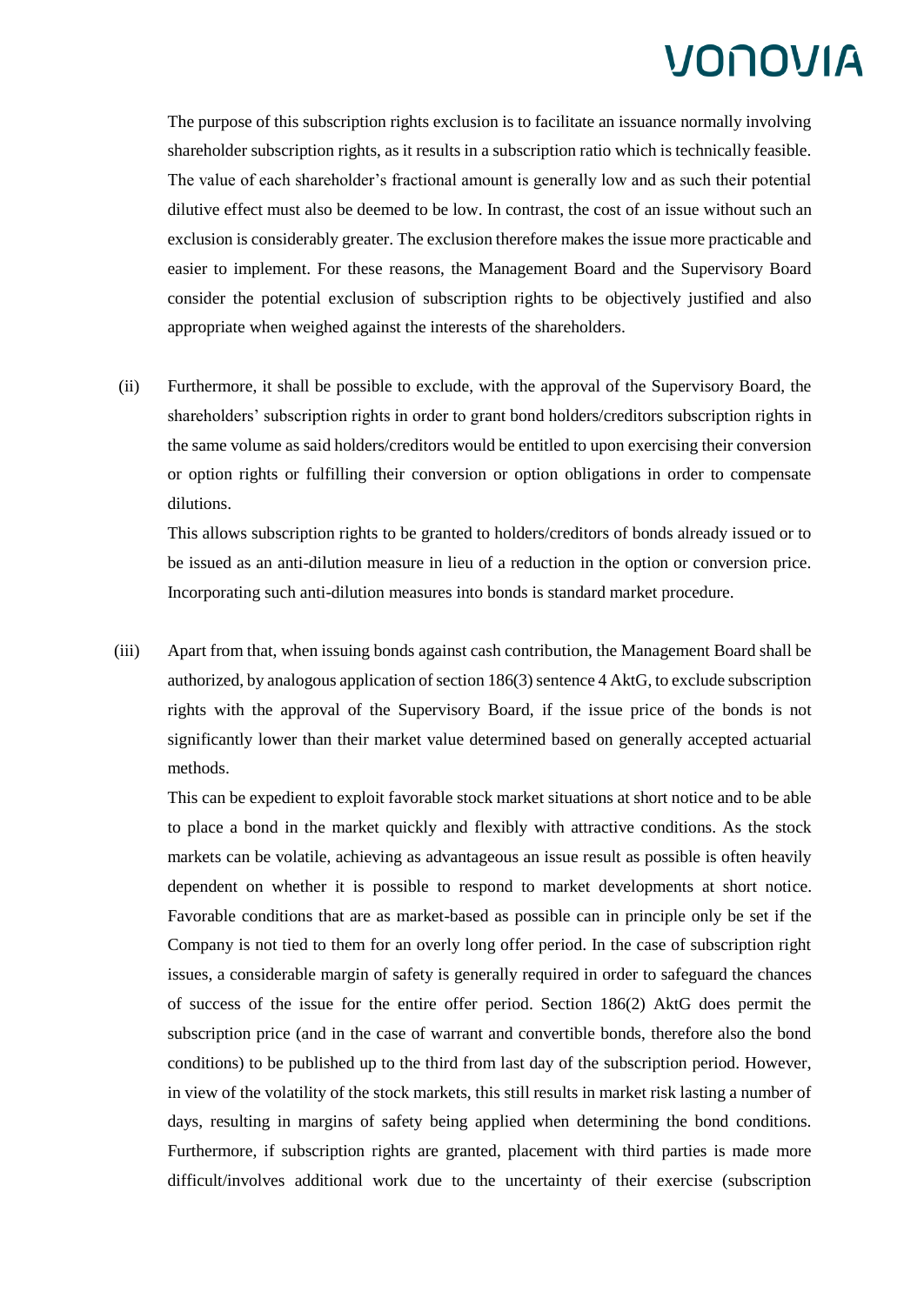The purpose of this subscription rights exclusion is to facilitate an issuance normally involving shareholder subscription rights, as it results in a subscription ratio which is technically feasible. The value of each shareholder's fractional amount is generally low and as such their potential dilutive effect must also be deemed to be low. In contrast, the cost of an issue without such an exclusion is considerably greater. The exclusion therefore makes the issue more practicable and easier to implement. For these reasons, the Management Board and the Supervisory Board consider the potential exclusion of subscription rights to be objectively justified and also appropriate when weighed against the interests of the shareholders.

(ii) Furthermore, it shall be possible to exclude, with the approval of the Supervisory Board, the shareholders' subscription rights in order to grant bond holders/creditors subscription rights in the same volume as said holders/creditors would be entitled to upon exercising their conversion or option rights or fulfilling their conversion or option obligations in order to compensate dilutions.

This allows subscription rights to be granted to holders/creditors of bonds already issued or to be issued as an anti-dilution measure in lieu of a reduction in the option or conversion price. Incorporating such anti-dilution measures into bonds is standard market procedure.

(iii) Apart from that, when issuing bonds against cash contribution, the Management Board shall be authorized, by analogous application of section 186(3) sentence 4 AktG, to exclude subscription rights with the approval of the Supervisory Board, if the issue price of the bonds is not significantly lower than their market value determined based on generally accepted actuarial methods.

This can be expedient to exploit favorable stock market situations at short notice and to be able to place a bond in the market quickly and flexibly with attractive conditions. As the stock markets can be volatile, achieving as advantageous an issue result as possible is often heavily dependent on whether it is possible to respond to market developments at short notice. Favorable conditions that are as market-based as possible can in principle only be set if the Company is not tied to them for an overly long offer period. In the case of subscription right issues, a considerable margin of safety is generally required in order to safeguard the chances of success of the issue for the entire offer period. Section 186(2) AktG does permit the subscription price (and in the case of warrant and convertible bonds, therefore also the bond conditions) to be published up to the third from last day of the subscription period. However, in view of the volatility of the stock markets, this still results in market risk lasting a number of days, resulting in margins of safety being applied when determining the bond conditions. Furthermore, if subscription rights are granted, placement with third parties is made more difficult/involves additional work due to the uncertainty of their exercise (subscription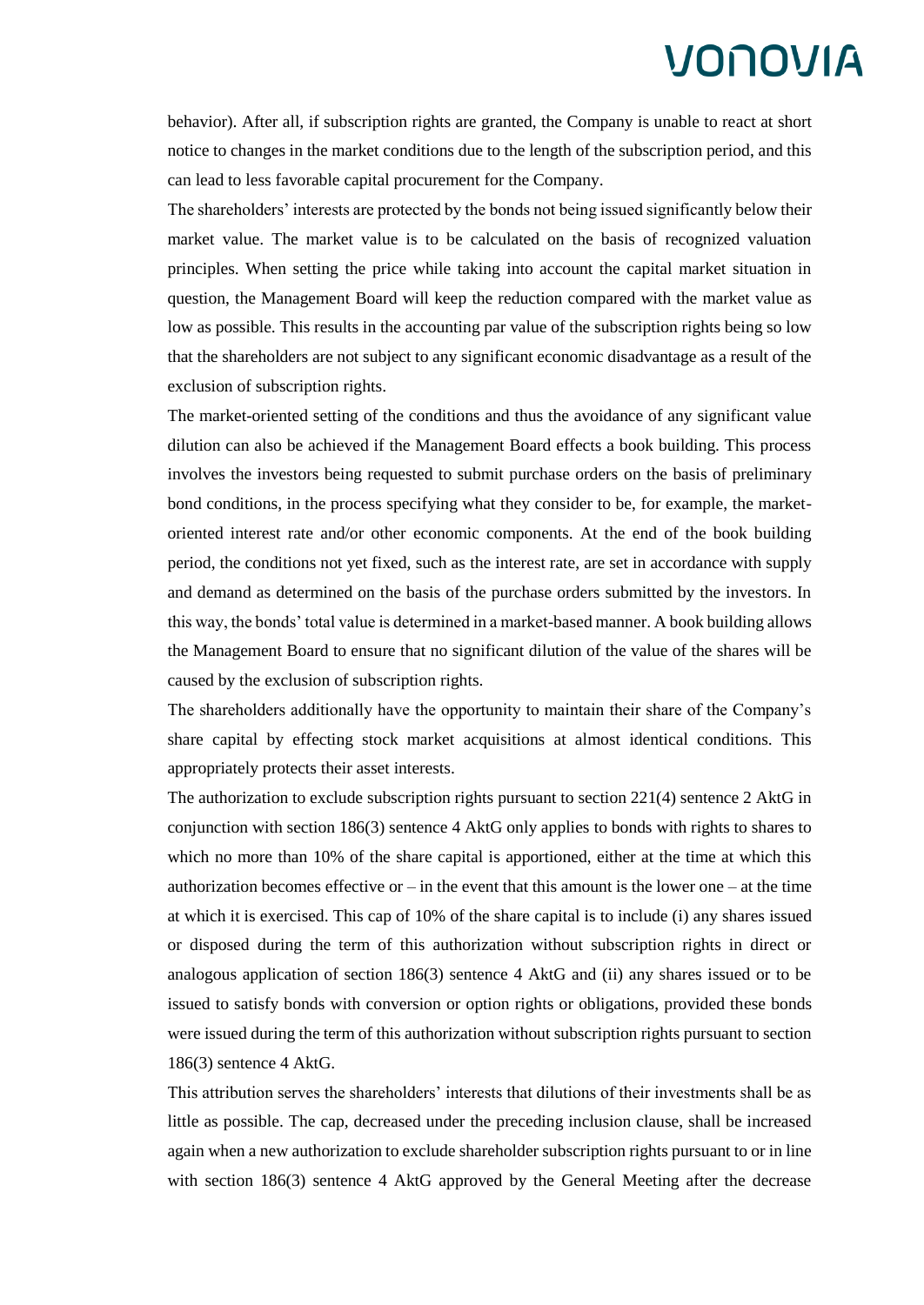behavior). After all, if subscription rights are granted, the Company is unable to react at short notice to changes in the market conditions due to the length of the subscription period, and this can lead to less favorable capital procurement for the Company.

The shareholders' interests are protected by the bonds not being issued significantly below their market value. The market value is to be calculated on the basis of recognized valuation principles. When setting the price while taking into account the capital market situation in question, the Management Board will keep the reduction compared with the market value as low as possible. This results in the accounting par value of the subscription rights being so low that the shareholders are not subject to any significant economic disadvantage as a result of the exclusion of subscription rights.

The market-oriented setting of the conditions and thus the avoidance of any significant value dilution can also be achieved if the Management Board effects a book building. This process involves the investors being requested to submit purchase orders on the basis of preliminary bond conditions, in the process specifying what they consider to be, for example, the marketoriented interest rate and/or other economic components. At the end of the book building period, the conditions not yet fixed, such as the interest rate, are set in accordance with supply and demand as determined on the basis of the purchase orders submitted by the investors. In this way, the bonds' total value is determined in a market-based manner. A book building allows the Management Board to ensure that no significant dilution of the value of the shares will be caused by the exclusion of subscription rights.

The shareholders additionally have the opportunity to maintain their share of the Company's share capital by effecting stock market acquisitions at almost identical conditions. This appropriately protects their asset interests.

The authorization to exclude subscription rights pursuant to section 221(4) sentence 2 AktG in conjunction with section 186(3) sentence 4 AktG only applies to bonds with rights to shares to which no more than 10% of the share capital is apportioned, either at the time at which this authorization becomes effective or  $-\text{in}$  the event that this amount is the lower one  $-\text{at}$  the time at which it is exercised. This cap of 10% of the share capital is to include (i) any shares issued or disposed during the term of this authorization without subscription rights in direct or analogous application of section 186(3) sentence 4 AktG and (ii) any shares issued or to be issued to satisfy bonds with conversion or option rights or obligations, provided these bonds were issued during the term of this authorization without subscription rights pursuant to section 186(3) sentence 4 AktG.

This attribution serves the shareholders' interests that dilutions of their investments shall be as little as possible. The cap, decreased under the preceding inclusion clause, shall be increased again when a new authorization to exclude shareholder subscription rights pursuant to or in line with section 186(3) sentence 4 AktG approved by the General Meeting after the decrease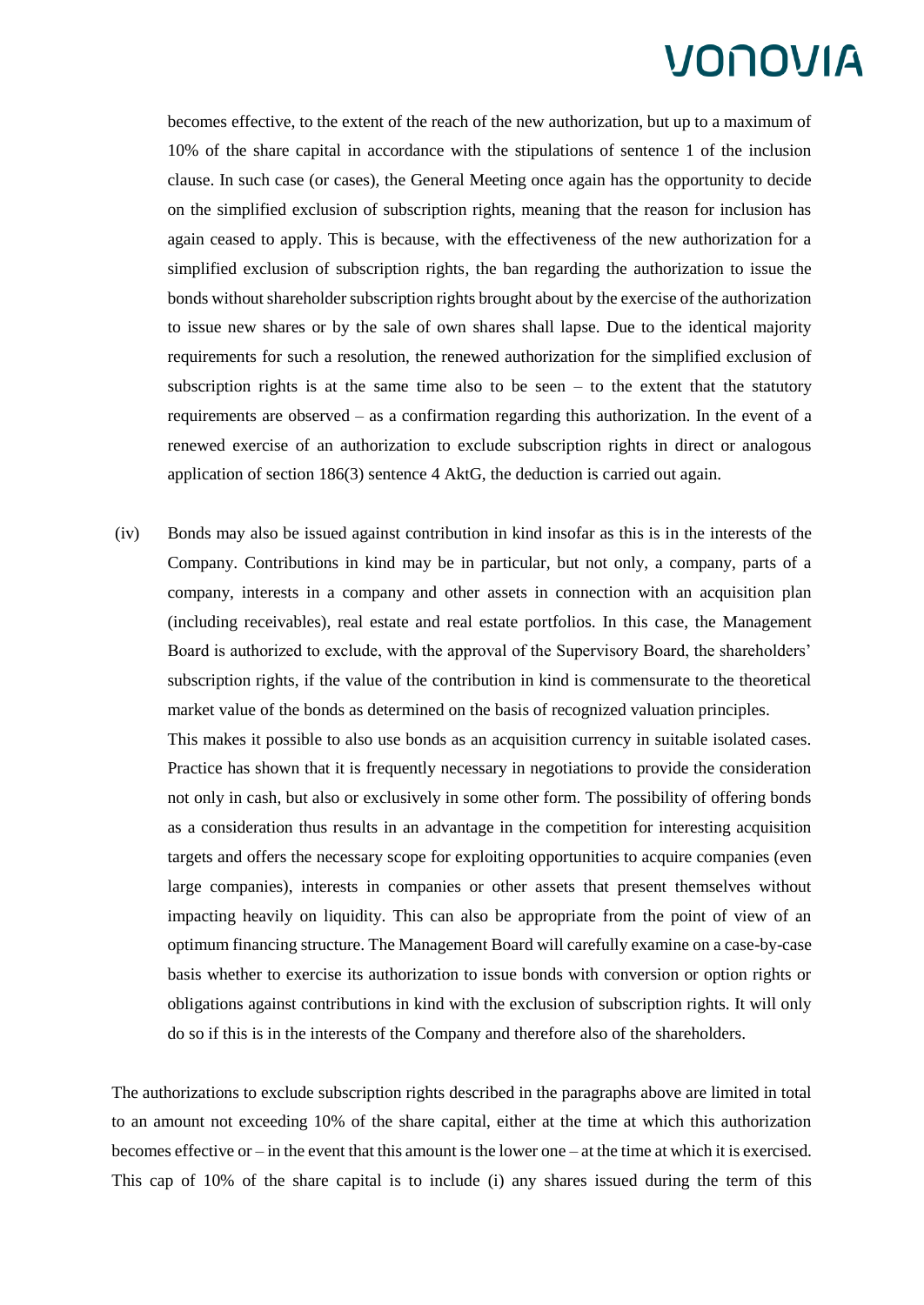becomes effective, to the extent of the reach of the new authorization, but up to a maximum of 10% of the share capital in accordance with the stipulations of sentence 1 of the inclusion clause. In such case (or cases), the General Meeting once again has the opportunity to decide on the simplified exclusion of subscription rights, meaning that the reason for inclusion has again ceased to apply. This is because, with the effectiveness of the new authorization for a simplified exclusion of subscription rights, the ban regarding the authorization to issue the bonds without shareholder subscription rights brought about by the exercise of the authorization to issue new shares or by the sale of own shares shall lapse. Due to the identical majority requirements for such a resolution, the renewed authorization for the simplified exclusion of subscription rights is at the same time also to be seen  $-$  to the extent that the statutory requirements are observed – as a confirmation regarding this authorization. In the event of a renewed exercise of an authorization to exclude subscription rights in direct or analogous application of section 186(3) sentence 4 AktG, the deduction is carried out again.

(iv) Bonds may also be issued against contribution in kind insofar as this is in the interests of the Company. Contributions in kind may be in particular, but not only, a company, parts of a company, interests in a company and other assets in connection with an acquisition plan (including receivables), real estate and real estate portfolios. In this case, the Management Board is authorized to exclude, with the approval of the Supervisory Board, the shareholders' subscription rights, if the value of the contribution in kind is commensurate to the theoretical market value of the bonds as determined on the basis of recognized valuation principles.

This makes it possible to also use bonds as an acquisition currency in suitable isolated cases. Practice has shown that it is frequently necessary in negotiations to provide the consideration not only in cash, but also or exclusively in some other form. The possibility of offering bonds as a consideration thus results in an advantage in the competition for interesting acquisition targets and offers the necessary scope for exploiting opportunities to acquire companies (even large companies), interests in companies or other assets that present themselves without impacting heavily on liquidity. This can also be appropriate from the point of view of an optimum financing structure. The Management Board will carefully examine on a case-by-case basis whether to exercise its authorization to issue bonds with conversion or option rights or obligations against contributions in kind with the exclusion of subscription rights. It will only do so if this is in the interests of the Company and therefore also of the shareholders.

The authorizations to exclude subscription rights described in the paragraphs above are limited in total to an amount not exceeding 10% of the share capital, either at the time at which this authorization becomes effective or – in the event that this amount is the lower one – at the time at which it is exercised. This cap of 10% of the share capital is to include (i) any shares issued during the term of this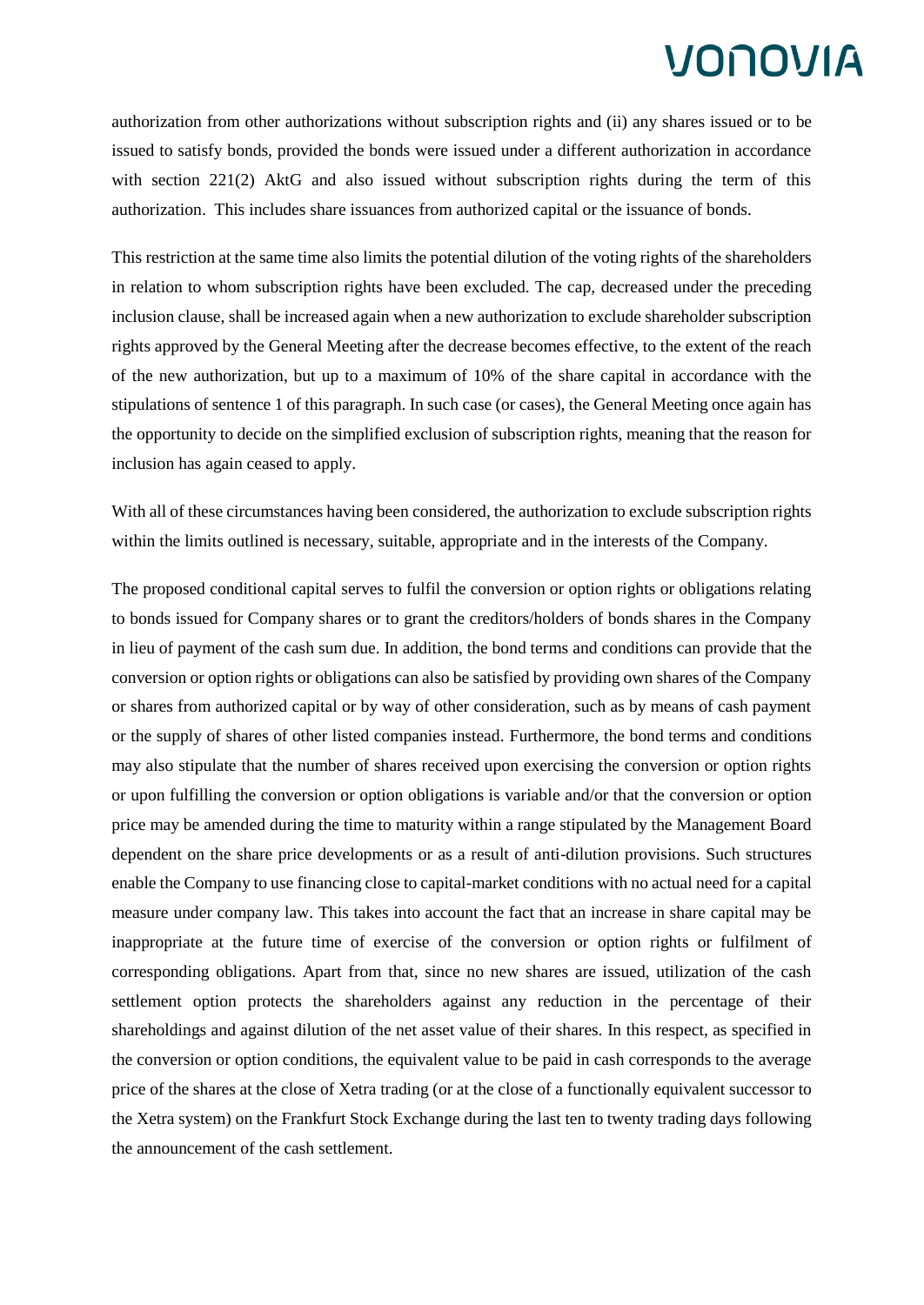authorization from other authorizations without subscription rights and (ii) any shares issued or to be issued to satisfy bonds, provided the bonds were issued under a different authorization in accordance with section 221(2) AktG and also issued without subscription rights during the term of this authorization. This includes share issuances from authorized capital or the issuance of bonds.

This restriction at the same time also limits the potential dilution of the voting rights of the shareholders in relation to whom subscription rights have been excluded. The cap, decreased under the preceding inclusion clause, shall be increased again when a new authorization to exclude shareholder subscription rights approved by the General Meeting after the decrease becomes effective, to the extent of the reach of the new authorization, but up to a maximum of 10% of the share capital in accordance with the stipulations of sentence 1 of this paragraph. In such case (or cases), the General Meeting once again has the opportunity to decide on the simplified exclusion of subscription rights, meaning that the reason for inclusion has again ceased to apply.

With all of these circumstances having been considered, the authorization to exclude subscription rights within the limits outlined is necessary, suitable, appropriate and in the interests of the Company.

The proposed conditional capital serves to fulfil the conversion or option rights or obligations relating to bonds issued for Company shares or to grant the creditors/holders of bonds shares in the Company in lieu of payment of the cash sum due. In addition, the bond terms and conditions can provide that the conversion or option rights or obligations can also be satisfied by providing own shares of the Company or shares from authorized capital or by way of other consideration, such as by means of cash payment or the supply of shares of other listed companies instead. Furthermore, the bond terms and conditions may also stipulate that the number of shares received upon exercising the conversion or option rights or upon fulfilling the conversion or option obligations is variable and/or that the conversion or option price may be amended during the time to maturity within a range stipulated by the Management Board dependent on the share price developments or as a result of anti-dilution provisions. Such structures enable the Company to use financing close to capital-market conditions with no actual need for a capital measure under company law. This takes into account the fact that an increase in share capital may be inappropriate at the future time of exercise of the conversion or option rights or fulfilment of corresponding obligations. Apart from that, since no new shares are issued, utilization of the cash settlement option protects the shareholders against any reduction in the percentage of their shareholdings and against dilution of the net asset value of their shares. In this respect, as specified in the conversion or option conditions, the equivalent value to be paid in cash corresponds to the average price of the shares at the close of Xetra trading (or at the close of a functionally equivalent successor to the Xetra system) on the Frankfurt Stock Exchange during the last ten to twenty trading days following the announcement of the cash settlement.